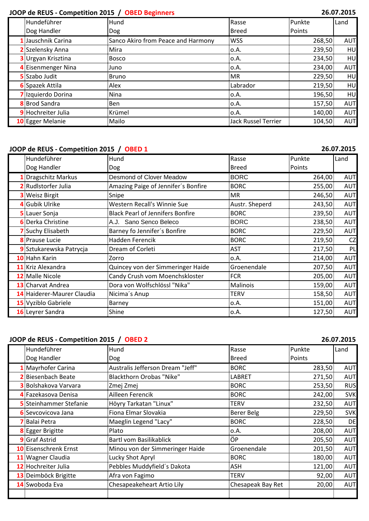## **JOOP de REUS - Competition 2015 / OBED Beginners**

| 26.07.2015 |  |
|------------|--|
|------------|--|

| Hundeführer               | Hund                               | Rasse                      | Punkte        | Land       |
|---------------------------|------------------------------------|----------------------------|---------------|------------|
| Dog Handler               | <b>Dog</b>                         | Breed                      | <b>Points</b> |            |
| 1 Jauschnik Carina        | Sanco Akiro from Peace and Harmony | <b>WSS</b>                 | 268,50        | <b>AUT</b> |
| 2 Szelensky Anna          | Mira                               | 0.A.                       | 239,50        | HU         |
| <b>3</b> Urgyan Krisztina | <b>Bosco</b>                       | 0.A.                       | 234,50        | HU         |
| 4 Eisenmenger Nina        | 'Juno                              | ο.Α.                       | 234,00        | <b>AUT</b> |
| <b>5</b> Szabo Judit      | <b>Bruno</b>                       | <b>MR</b>                  | 229,50        | HU         |
| <b>6</b> Spazek Attila    | Alex                               | Labrador                   | 219,50        | HU         |
| 7 Izquierdo Dorina        | Nina                               | 0.A.                       | 196,50        | HU         |
| <b>8</b> Brod Sandra      | :Ben                               | :0.A.                      | 157,50        | <b>AUT</b> |
| 9 Hochreiter Julia        | Krümel                             | :0.A.                      | 140,00        | <b>AUT</b> |
| 10 Egger Melanie          | Mailo                              | <b>Jack Russel Terrier</b> | 104,50        | <b>AUT</b> |

### **JOOP de REUS - Competition 2015 / OBED 1**

**26.07.2015**

| Hundeführer                | Hund                                    | Rasse          | Punkte | Land       |
|----------------------------|-----------------------------------------|----------------|--------|------------|
| Dog Handler                | <b>Dog</b>                              | <b>Breed</b>   | Points |            |
| Dragschitz Markus          | Desmond of Clover Meadow                | <b>BORC</b>    | 264,00 | <b>AUT</b> |
| 2 Rudlstorfer Julia        | Amazing Paige of Jennifer's Bonfire     | <b>BORC</b>    | 255,00 | <b>AUT</b> |
| <b>3</b> Weisz Birgit      | Snipe                                   | MR             | 246,50 | <b>AUT</b> |
| 4 Gubik Ulrike             | Western Recall's Winnie Sue             | Austr. Sheperd | 243,50 | <b>AUT</b> |
| 5 Lauer Sonja              | <b>Black Pearl of Jennifers Bonfire</b> | <b>BORC</b>    | 239,50 | <b>AUT</b> |
| <b>6</b> Derka Christine   | A.J. Sano Senco Beleco                  | <b>BORC</b>    | 238,50 | <b>AUT</b> |
| 7 Suchy Elisabeth          | Barney fo Jennifer's Bonfire            | <b>BORC</b>    | 229,50 | <b>AUT</b> |
| <b>8</b> Prause Lucie      | Hadden Ferencik                         | <b>BORC</b>    | 219,50 | CZ         |
| 9 Sztukarewska Patrycja    | Dream of Corleti                        | <b>AST</b>     | 217,50 | PL         |
| 10 Hahn Karin              | Zorro                                   | 0.A.           | 214,00 | <b>AUT</b> |
| 11 Kriz Alexandra          | Quincey von der Simmeringer Haide       | Groenendale    | 207,50 | <b>AUT</b> |
| 12 Malle Nicole            | Candy Crush vom Moenchskloster          | <b>FCR</b>     | 205,00 | <b>AUT</b> |
| <b>13</b> Charvat Andrea   | Dora von Wolfschlössl "Nika"            | Malinois       | 159,00 | <b>AUT</b> |
| 14 Haiderer-Maurer Claudia | Nicima's Anup                           | <b>TERV</b>    | 158,50 | <b>AUT</b> |
| 15 Vyziblo Gabriele        | Barney                                  | 0.A.           | 151,00 | <b>AUT</b> |
| 16 Leyrer Sandra           | Shine                                   | 0.A.           | 127,50 | <b>AUT</b> |

### **JOOP de REUS - Competition 2015 / OBED 2 26.07.2015**

| Hundeführer                   | Hund                             | Rasse             | Punkte | Land       |
|-------------------------------|----------------------------------|-------------------|--------|------------|
| Dog Handler                   | <b>Dog</b>                       | <b>Breed</b>      | Points |            |
| 1 Mayrhofer Carina            | Australis Jefferson Dream "Jeff" | <b>BORC</b>       | 283,50 | <b>AUT</b> |
| <b>2</b> Biesenbach Beate     | Blackthorn Orobas "Nike"         | LABRET            | 271,50 | <b>AUT</b> |
| <b>3</b> Bolshakova Varvara   | Zmej Zmej                        | <b>BORC</b>       | 253,50 | <b>RUS</b> |
| 4 Fazekasova Denisa           | Ailleen Ferencik                 | <b>BORC</b>       | 242,00 | <b>SVK</b> |
| <b>5</b> Steinhammer Stefanie | Höyry Tarkatan "Linux"           | <b>TERV</b>       | 232,50 | <b>AUT</b> |
| 6 Sevcovicova Jana            | Fiona Elmar Slovakia             | <b>Berer Belg</b> | 229,50 | <b>SVK</b> |
| 7 Balai Petra                 | Maeglin Legend "Lacy"            | <b>BORC</b>       | 228,50 | DE         |
| <b>8</b> Egger Brigitte       | Plato                            | 0.A.              | 208,00 | <b>AUT</b> |
| <b>9</b> Graf Astrid          | Bartl vom Basilikablick          | ÖP                | 205,50 | <b>AUT</b> |
| 10 Eisenschrenk Ernst         | Minou von der Simmeringer Haide  | Groenendale       | 201,50 | <b>AUT</b> |
| 11 Wagner Claudia             | Lucky Shot Apryl                 | <b>BORC</b>       | 180,00 | <b>AUT</b> |
| 12 Hochreiter Julia           | Pebbles Muddyfield's Dakota      | ASH               | 121,00 | <b>AUT</b> |
| 13 Deimböck Brigitte          | Afra von Fagimo                  | <b>TERV</b>       | 92,00  | <b>AUT</b> |
| 14 Swoboda Eva                | Chesapeakeheart Artio Lily       | Chesapeak Bay Ret | 20,00  | <b>AUT</b> |
|                               |                                  |                   |        |            |